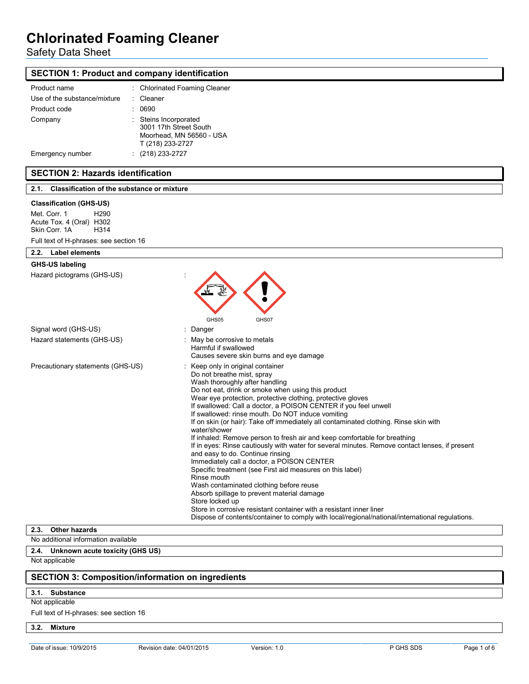# Safety Data Sheet

| <b>SECTION 1: Product and company identification</b>                                                                    |                                                                                                                                                                                                                                                                                                                                                                                                                                                                                                                                                                                                                                                                                                                                                                                                                                                                                                                                                                                                                                                                                            |  |  |
|-------------------------------------------------------------------------------------------------------------------------|--------------------------------------------------------------------------------------------------------------------------------------------------------------------------------------------------------------------------------------------------------------------------------------------------------------------------------------------------------------------------------------------------------------------------------------------------------------------------------------------------------------------------------------------------------------------------------------------------------------------------------------------------------------------------------------------------------------------------------------------------------------------------------------------------------------------------------------------------------------------------------------------------------------------------------------------------------------------------------------------------------------------------------------------------------------------------------------------|--|--|
| Product name                                                                                                            | : Chlorinated Foaming Cleaner                                                                                                                                                                                                                                                                                                                                                                                                                                                                                                                                                                                                                                                                                                                                                                                                                                                                                                                                                                                                                                                              |  |  |
| Use of the substance/mixture                                                                                            | Cleaner                                                                                                                                                                                                                                                                                                                                                                                                                                                                                                                                                                                                                                                                                                                                                                                                                                                                                                                                                                                                                                                                                    |  |  |
| Product code                                                                                                            | : 0690                                                                                                                                                                                                                                                                                                                                                                                                                                                                                                                                                                                                                                                                                                                                                                                                                                                                                                                                                                                                                                                                                     |  |  |
| Company                                                                                                                 | : Steins Incorporated<br>3001 17th Street South<br>Moorhead, MN 56560 - USA<br>T (218) 233-2727                                                                                                                                                                                                                                                                                                                                                                                                                                                                                                                                                                                                                                                                                                                                                                                                                                                                                                                                                                                            |  |  |
| Emergency number                                                                                                        | $(218)$ 233-2727                                                                                                                                                                                                                                                                                                                                                                                                                                                                                                                                                                                                                                                                                                                                                                                                                                                                                                                                                                                                                                                                           |  |  |
| <b>SECTION 2: Hazards identification</b>                                                                                |                                                                                                                                                                                                                                                                                                                                                                                                                                                                                                                                                                                                                                                                                                                                                                                                                                                                                                                                                                                                                                                                                            |  |  |
| 2.1. Classification of the substance or mixture                                                                         |                                                                                                                                                                                                                                                                                                                                                                                                                                                                                                                                                                                                                                                                                                                                                                                                                                                                                                                                                                                                                                                                                            |  |  |
| <b>Classification (GHS-US)</b><br>Met. Corr. 1<br>H <sub>290</sub><br>Acute Tox. 4 (Oral) H302<br>Skin Corr. 1A<br>H314 |                                                                                                                                                                                                                                                                                                                                                                                                                                                                                                                                                                                                                                                                                                                                                                                                                                                                                                                                                                                                                                                                                            |  |  |
| Full text of H-phrases: see section 16                                                                                  |                                                                                                                                                                                                                                                                                                                                                                                                                                                                                                                                                                                                                                                                                                                                                                                                                                                                                                                                                                                                                                                                                            |  |  |
| 2.2. Label elements<br><b>GHS-US labeling</b>                                                                           |                                                                                                                                                                                                                                                                                                                                                                                                                                                                                                                                                                                                                                                                                                                                                                                                                                                                                                                                                                                                                                                                                            |  |  |
| Hazard pictograms (GHS-US)                                                                                              | GHS05<br>GHS07                                                                                                                                                                                                                                                                                                                                                                                                                                                                                                                                                                                                                                                                                                                                                                                                                                                                                                                                                                                                                                                                             |  |  |
| Signal word (GHS-US)                                                                                                    | : Danger                                                                                                                                                                                                                                                                                                                                                                                                                                                                                                                                                                                                                                                                                                                                                                                                                                                                                                                                                                                                                                                                                   |  |  |
| Hazard statements (GHS-US)                                                                                              | May be corrosive to metals<br>Harmful if swallowed<br>Causes severe skin burns and eye damage                                                                                                                                                                                                                                                                                                                                                                                                                                                                                                                                                                                                                                                                                                                                                                                                                                                                                                                                                                                              |  |  |
| Precautionary statements (GHS-US)                                                                                       | : Keep only in original container<br>Do not breathe mist, spray<br>Wash thoroughly after handling<br>Do not eat, drink or smoke when using this product<br>Wear eye protection, protective clothing, protective gloves<br>If swallowed: Call a doctor, a POISON CENTER if you feel unwell<br>If swallowed: rinse mouth. Do NOT induce vomiting<br>If on skin (or hair): Take off immediately all contaminated clothing. Rinse skin with<br>water/shower<br>If inhaled: Remove person to fresh air and keep comfortable for breathing<br>If in eyes: Rinse cautiously with water for several minutes. Remove contact lenses, if present<br>and easy to do. Continue rinsing<br>Immediately call a doctor, a POISON CENTER<br>Specific treatment (see First aid measures on this label)<br>Rinse mouth<br>Wash contaminated clothing before reuse<br>Absorb spillage to prevent material damage<br>Store locked up<br>Store in corrosive resistant container with a resistant inner liner<br>Dispose of contents/container to comply with local/regional/national/international regulations. |  |  |
| <b>Other hazards</b><br>2.3.                                                                                            |                                                                                                                                                                                                                                                                                                                                                                                                                                                                                                                                                                                                                                                                                                                                                                                                                                                                                                                                                                                                                                                                                            |  |  |

### No additional information available **2.4. Unknown acute toxicity (GHS US)**

Not applicable

### **SECTION 3: Composition/information on ingredients**

#### **3.1. Substance**

Not applicable

Full text of H-phrases: see section 16

**3.2. Mixture**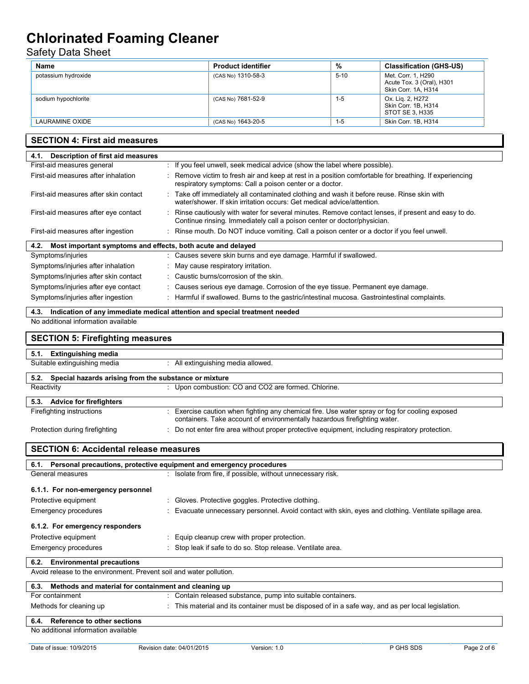# Safety Data Sheet

| Name                | <b>Product identifier</b> | %        | <b>Classification (GHS-US)</b>                                         |
|---------------------|---------------------------|----------|------------------------------------------------------------------------|
| potassium hydroxide | (CAS No) 1310-58-3        | $5 - 10$ | Met. Corr. 1, H290<br>Acute Tox. 3 (Oral), H301<br>Skin Corr. 1A, H314 |
| sodium hypochlorite | (CAS No) 7681-52-9        | $1 - 5$  | Ox. Lig. 2, H272<br>Skin Corr. 1B, H314<br>STOT SE 3, H335             |
| LAURAMINE OXIDE     | (CAS No) 1643-20-5        | $1 - 5$  | Skin Corr. 1B, H314                                                    |

### **SECTION 4: First aid measures**

| Description of first aid measures<br>4.1.                           |                                                                                                                                                                               |  |  |
|---------------------------------------------------------------------|-------------------------------------------------------------------------------------------------------------------------------------------------------------------------------|--|--|
| First-aid measures general                                          | If you feel unwell, seek medical advice (show the label where possible).                                                                                                      |  |  |
| First-aid measures after inhalation                                 | Remove victim to fresh air and keep at rest in a position comfortable for breathing. If experiencing<br>respiratory symptoms: Call a poison center or a doctor.               |  |  |
| First-aid measures after skin contact                               | Take off immediately all contaminated clothing and wash it before reuse. Rinse skin with<br>water/shower. If skin irritation occurs: Get medical advice/attention.            |  |  |
| First-aid measures after eye contact                                | Rinse cautiously with water for several minutes. Remove contact lenses, if present and easy to do.<br>Continue rinsing. Immediately call a poison center or doctor/physician. |  |  |
| First-aid measures after ingestion                                  | Rinse mouth. Do NOT induce vomiting. Call a poison center or a doctor if you feel unwell.                                                                                     |  |  |
| Most important symptoms and effects, both acute and delayed<br>4.2. |                                                                                                                                                                               |  |  |
| Symptoms/injuries                                                   | Causes severe skin burns and eye damage. Harmful if swallowed.                                                                                                                |  |  |
| Symptoms/injuries after inhalation                                  | May cause respiratory irritation.                                                                                                                                             |  |  |
| Symptoms/injuries after skin contact                                | : Caustic burns/corrosion of the skin.                                                                                                                                        |  |  |
| Symptoms/injuries after eye contact                                 | Causes serious eye damage. Corrosion of the eye tissue. Permanent eye damage.                                                                                                 |  |  |
| Symptoms/injuries after ingestion                                   | Harmful if swallowed. Burns to the gastric/intestinal mucosa. Gastrointestinal complaints.                                                                                    |  |  |
|                                                                     | 4.3. Indication of any immediate medical attention and special treatment needed                                                                                               |  |  |
| No additional information available                                 |                                                                                                                                                                               |  |  |
|                                                                     | <b>SECTION 5: Firefighting measures</b>                                                                                                                                       |  |  |
| <b>Extinguishing media</b><br>5.1.                                  |                                                                                                                                                                               |  |  |
| Suitable extinguishing media                                        | All extinguishing media allowed.                                                                                                                                              |  |  |
| 5.2. Special hazards arising from the substance or mixture          |                                                                                                                                                                               |  |  |

| Reactivity                     | : Upon combustion: CO and CO2 are formed. Chlorine.                                                                                                                       |  |
|--------------------------------|---------------------------------------------------------------------------------------------------------------------------------------------------------------------------|--|
| 5.3. Advice for firefighters   |                                                                                                                                                                           |  |
| Firefighting instructions      | Exercise caution when fighting any chemical fire. Use water spray or fog for cooling exposed<br>containers. Take account of environmentally hazardous firefighting water. |  |
| Protection during firefighting | : Do not enter fire area without proper protective equipment, including respiratory protection.                                                                           |  |

### **SECTION 6: Accidental release measures**

| 6.1. Personal precautions, protective equipment and emergency procedures |                                                                                                        |  |
|--------------------------------------------------------------------------|--------------------------------------------------------------------------------------------------------|--|
| General measures                                                         | : Isolate from fire, if possible, without unnecessary risk.                                            |  |
|                                                                          |                                                                                                        |  |
| 6.1.1. For non-emergency personnel                                       |                                                                                                        |  |
| Protective equipment                                                     | : Gloves. Protective goggles. Protective clothing.                                                     |  |
| Emergency procedures                                                     | : Evacuate unnecessary personnel. Avoid contact with skin, eyes and clothing. Ventilate spillage area. |  |
| 6.1.2. For emergency responders                                          |                                                                                                        |  |
| Protective equipment                                                     | : Equip cleanup crew with proper protection.                                                           |  |
| Emergency procedures                                                     | : Stop leak if safe to do so. Stop release. Ventilate area.                                            |  |
| 6.2. Environmental precautions                                           |                                                                                                        |  |
| Avoid release to the environment. Prevent soil and water pollution.      |                                                                                                        |  |
| Methods and material for containment and cleaning up<br>6.3.             |                                                                                                        |  |
| For containment                                                          | : Contain released substance, pump into suitable containers.                                           |  |

Methods for cleaning up : This material and its container must be disposed of in a safe way, and as per local legislation.

### **6.4. Reference to other sections**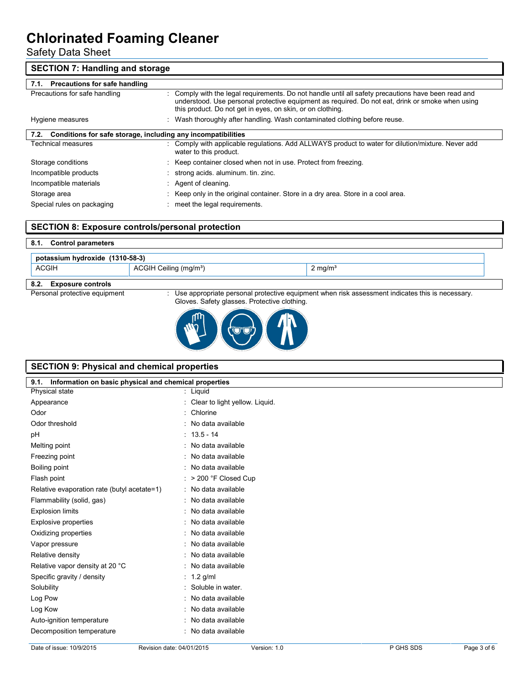Safety Data Sheet

| <b>SECTION 7: Handling and storage</b>                               |                                                                                                                                                                                                                                                                       |  |
|----------------------------------------------------------------------|-----------------------------------------------------------------------------------------------------------------------------------------------------------------------------------------------------------------------------------------------------------------------|--|
| 7.1. Precautions for safe handling                                   |                                                                                                                                                                                                                                                                       |  |
| Precautions for safe handling                                        | : Comply with the legal requirements. Do not handle until all safety precautions have been read and<br>understood. Use personal protective equipment as required. Do not eat, drink or smoke when using<br>this product. Do not get in eyes, on skin, or on clothing. |  |
| Hygiene measures                                                     | : Wash thoroughly after handling. Wash contaminated clothing before reuse.                                                                                                                                                                                            |  |
| Conditions for safe storage, including any incompatibilities<br>7.2. |                                                                                                                                                                                                                                                                       |  |
| <b>Technical measures</b>                                            | : Comply with applicable regulations. Add ALLWAYS product to water for dilution/mixture. Never add<br>water to this product.                                                                                                                                          |  |
| Storage conditions                                                   | : Keep container closed when not in use. Protect from freezing.                                                                                                                                                                                                       |  |
| Incompatible products                                                | : strong acids. aluminum. tin. zinc.                                                                                                                                                                                                                                  |  |
| Incompatible materials                                               | : Agent of cleaning.                                                                                                                                                                                                                                                  |  |
| Storage area                                                         | : Keep only in the original container. Store in a dry area. Store in a cool area.                                                                                                                                                                                     |  |
| Special rules on packaging                                           | meet the legal requirements.                                                                                                                                                                                                                                          |  |

### **SECTION 8: Exposure controls/personal protection**

| potassium hydroxide (1310-58-3) |                                    |                    |  |
|---------------------------------|------------------------------------|--------------------|--|
| ACGIH                           | ACGIH Ceiling (mg/m <sup>3</sup> ) | $2 \text{ mg/m}^3$ |  |

Personal protective equipment : Use appropriate personal protective equipment when risk assessment indicates this is necessary. Gloves. Safety glasses. Protective clothing.



| <b>SECTION 9: Physical and chemical properties</b>         |                                  |  |
|------------------------------------------------------------|----------------------------------|--|
| 9.1. Information on basic physical and chemical properties |                                  |  |
| Physical state                                             | : Liquid                         |  |
| Appearance                                                 | : Clear to light yellow. Liguid. |  |
| Odor                                                       | : Chlorine                       |  |
| Odor threshold                                             | : No data available              |  |
| pH                                                         | $: 13.5 - 14$                    |  |
| Melting point                                              | : No data available              |  |
| Freezing point                                             | : No data available              |  |
| Boiling point                                              | : No data available              |  |
| Flash point                                                | $:$ > 200 °F Closed Cup          |  |
| Relative evaporation rate (butyl acetate=1)                | : No data available              |  |
| Flammability (solid, gas)                                  | : No data available              |  |
| <b>Explosion limits</b>                                    | : No data available              |  |
| <b>Explosive properties</b>                                | : No data available              |  |
| Oxidizing properties                                       | : No data available              |  |
| Vapor pressure                                             | : No data available              |  |
| Relative density                                           | : No data available              |  |
| Relative vapor density at 20 °C                            | : No data available              |  |
| Specific gravity / density                                 | : $1.2$ g/ml                     |  |
| Solubility                                                 | : Soluble in water.              |  |
| Log Pow                                                    | : No data available              |  |
| Log Kow                                                    | : No data available              |  |
| Auto-ignition temperature                                  | : No data available              |  |
| Decomposition temperature                                  | : No data available              |  |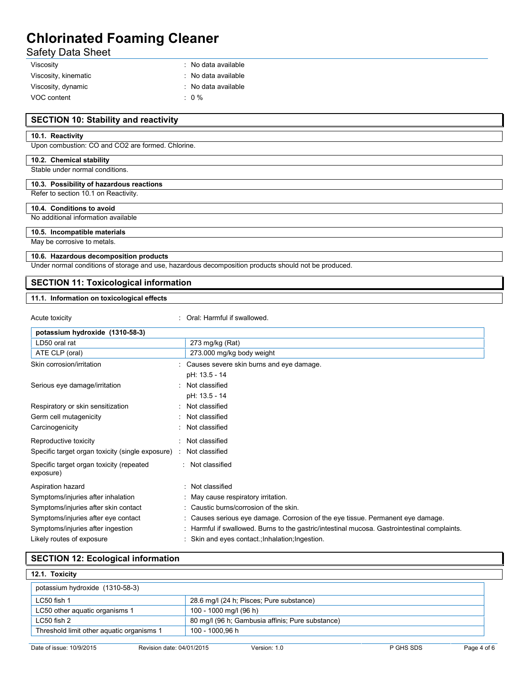Safety Data Sheet

| Viscosity            | $\therefore$ No data available |
|----------------------|--------------------------------|
| Viscosity, kinematic | $\therefore$ No data available |
| Viscosity, dynamic   | $\therefore$ No data available |
| VOC content          | $\cdot$ 0 %                    |

#### **SECTION 10: Stability and reactivity**

#### **10.1. Reactivity**

Upon combustion: CO and CO2 are formed. Chlorine.

#### **10.2. Chemical stability**

Stable under normal conditions.

#### **10.3. Possibility of hazardous reactions**

#### Refer to section 10.1 on Reactivity.

#### **10.4. Conditions to avoid**

No additional information available

#### **10.5. Incompatible materials**

May be corrosive to metals.

#### **10.6. Hazardous decomposition products**

Under normal conditions of storage and use, hazardous decomposition products should not be produced.

### **SECTION 11: Toxicological information**

#### **11.1. Information on toxicological effects**

Acute toxicity **in the case of the Caucasian Caucasia** Caucasian Caucasian Caucasian Caucasian Caucasian Caucasian Caucasian Caucasian Caucasian Caucasian Caucasian Caucasian Caucasian Caucasian Caucasian Caucasian Caucasi

| potassium hydroxide (1310-58-3)                       |                                                                                            |
|-------------------------------------------------------|--------------------------------------------------------------------------------------------|
| LD50 oral rat                                         | 273 mg/kg (Rat)                                                                            |
| ATE CLP (oral)                                        | 273.000 mg/kg body weight                                                                  |
| Skin corrosion/irritation                             | Causes severe skin burns and eye damage.                                                   |
|                                                       | pH: 13.5 - 14                                                                              |
| Serious eye damage/irritation                         | Not classified                                                                             |
|                                                       | pH: 13.5 - 14                                                                              |
| Respiratory or skin sensitization                     | Not classified                                                                             |
| Germ cell mutagenicity                                | Not classified                                                                             |
| Carcinogenicity                                       | Not classified                                                                             |
| Reproductive toxicity                                 | Not classified                                                                             |
| Specific target organ toxicity (single exposure) :    | Not classified                                                                             |
| Specific target organ toxicity (repeated<br>exposure) | : Not classified                                                                           |
| Aspiration hazard                                     | : Not classified                                                                           |
| Symptoms/injuries after inhalation                    | : May cause respiratory irritation.                                                        |
| Symptoms/injuries after skin contact                  | : Caustic burns/corrosion of the skin.                                                     |
| Symptoms/injuries after eye contact                   | : Causes serious eye damage. Corrosion of the eye tissue. Permanent eye damage.            |
| Symptoms/injuries after ingestion                     | Harmful if swallowed. Burns to the gastric/intestinal mucosa. Gastrointestinal complaints. |
| Likely routes of exposure                             | : Skin and eyes contact: Inhalation; Ingestion.                                            |

#### **SECTION 12: Ecological information**

| potassium hydroxide (1310-58-3)           |                                                  |  |
|-------------------------------------------|--------------------------------------------------|--|
| LC50 fish 1                               | 28.6 mg/l (24 h; Pisces; Pure substance)         |  |
| LC50 other aquatic organisms 1            | 100 - 1000 mg/l (96 h)                           |  |
| $LC50$ fish 2                             | 80 mg/l (96 h; Gambusia affinis; Pure substance) |  |
| Threshold limit other aquatic organisms 1 | 100 - 1000.96 h                                  |  |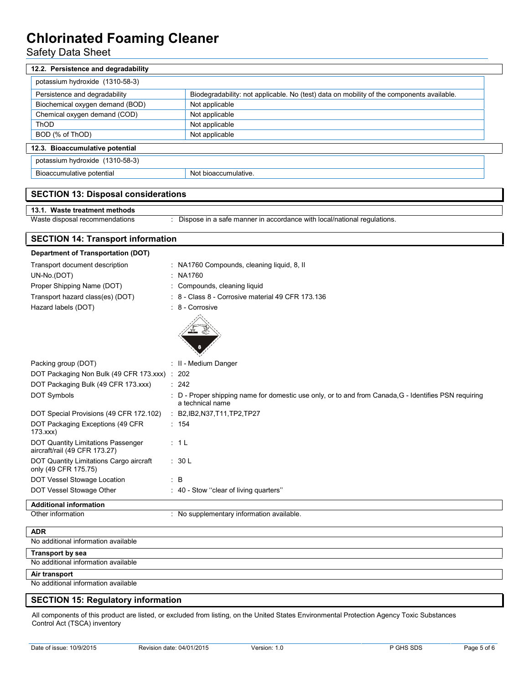Safety Data Sheet

| 12.2. Persistence and degradability                                        |                                                                                                       |
|----------------------------------------------------------------------------|-------------------------------------------------------------------------------------------------------|
| potassium hydroxide (1310-58-3)                                            |                                                                                                       |
| Persistence and degradability                                              | Biodegradability: not applicable. No (test) data on mobility of the components available.             |
| Biochemical oxygen demand (BOD)                                            | Not applicable                                                                                        |
| Chemical oxygen demand (COD)                                               | Not applicable                                                                                        |
| ThOD                                                                       | Not applicable                                                                                        |
| BOD (% of ThOD)                                                            | Not applicable                                                                                        |
| 12.3. Bioaccumulative potential                                            |                                                                                                       |
|                                                                            |                                                                                                       |
| potassium hydroxide (1310-58-3)                                            |                                                                                                       |
| Bioaccumulative potential                                                  | Not bioaccumulative.                                                                                  |
| <b>SECTION 13: Disposal considerations</b>                                 |                                                                                                       |
|                                                                            |                                                                                                       |
| 13.1. Waste treatment methods                                              |                                                                                                       |
| Waste disposal recommendations                                             | Dispose in a safe manner in accordance with local/national regulations.                               |
| <b>SECTION 14: Transport information</b>                                   |                                                                                                       |
|                                                                            |                                                                                                       |
| <b>Department of Transportation (DOT)</b>                                  |                                                                                                       |
| Transport document description                                             | : NA1760 Compounds, cleaning liquid, 8, II                                                            |
| UN-No.(DOT)                                                                | NA1760                                                                                                |
| Proper Shipping Name (DOT)                                                 | Compounds, cleaning liquid                                                                            |
| Transport hazard class(es) (DOT)                                           | 8 - Class 8 - Corrosive material 49 CFR 173.136                                                       |
| Hazard labels (DOT)                                                        | 8 - Corrosive                                                                                         |
|                                                                            |                                                                                                       |
| Packing group (DOT)                                                        | : II - Medium Danger                                                                                  |
| DOT Packaging Non Bulk (49 CFR 173.xxx) :                                  | 202                                                                                                   |
| DOT Packaging Bulk (49 CFR 173.xxx)                                        | : 242                                                                                                 |
| <b>DOT Symbols</b>                                                         | : D - Proper shipping name for domestic use only, or to and from Canada, G - Identifies PSN requiring |
|                                                                            | a technical name                                                                                      |
| DOT Special Provisions (49 CFR 172.102)                                    | : B2, IB2, N37, T11, TP2, TP27                                                                        |
| DOT Packaging Exceptions (49 CFR<br>173.xxx                                | : 154                                                                                                 |
| <b>DOT Quantity Limitations Passenger</b><br>aircraft/rail (49 CFR 173.27) | : 1L                                                                                                  |
| DOT Quantity Limitations Cargo aircraft<br>only (49 CFR 175.75)            | : 30 L                                                                                                |
| DOT Vessel Stowage Location                                                | : B                                                                                                   |
| DOT Vessel Stowage Other                                                   | : 40 - Stow "clear of living quarters"                                                                |
| <b>Additional information</b>                                              |                                                                                                       |
| Other information                                                          | : No supplementary information available.                                                             |
| <b>ADR</b>                                                                 |                                                                                                       |
| No additional information available                                        |                                                                                                       |
| <b>Transport by sea</b>                                                    |                                                                                                       |
| No additional information available                                        |                                                                                                       |
| Air transport                                                              |                                                                                                       |
| No additional information available                                        |                                                                                                       |
| <b>SECTION 15: Regulatory information</b>                                  |                                                                                                       |

All components of this product are listed, or excluded from listing, on the United States Environmental Protection Agency Toxic Substances Control Act (TSCA) inventory